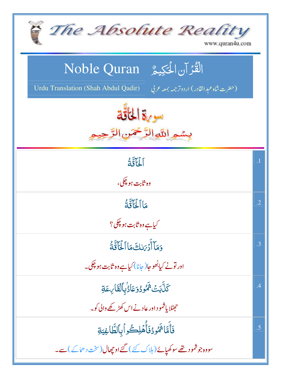| The Absolute Reality<br>www.quran4u.com                                                                                    |                 |
|----------------------------------------------------------------------------------------------------------------------------|-----------------|
| الْقُرْآنِ الْحَكِيمُ ِ Noble Quran<br>Urdu Translation (Shah Abdul Qadir)<br>(حفرت شاه عبد القادر) اردوتر جمه بمعه عربي ا |                 |
| سورة الخاقة<br>بسمه اللهاالرَّحْمَن                                                                                        |                 |
| <b>LELI</b>                                                                                                                | $\cdot$ 1       |
| وه ثاب <u>ت</u> ہو پکی،                                                                                                    |                 |
| عَالَمُأَنَّةُ                                                                                                             | $\cdot$ .2      |
| کي <u>ا ہ</u> ے وہ ثابت ہو <sup>چک</sup> ي؟                                                                                |                 |
| وَمَآ أَدۡ بَاكَ مَاۤالۡكَاتَةُ                                                                                            | .3              |
| اور تونے کیابھُوجا( جانا) کیاہے وہ ثابت ہو چکی۔                                                                            |                 |
| ؘ<br>ػڷۜڹ <i>ؘؾٛ<sup>؞</sup>۬ۿؙ</i> ۠ٶۮۏڡؘٵۮؙڹؚٱڶۘڦؘٵ <i>ڹ</i> ؚڡؘۊ                                                        | $\overline{.4}$ |
| حیٹلا یاشمو د اور عادنے اس کھڑکھے والی کو۔                                                                                 |                 |
| فَأَمَّاشُمُودُفَأُهۡلِكُواۡبِٱلطَّاغِيَةِ                                                                                 | .5              |
| سووہ جو شمود تھے سو کھیائے ( ہلاک کئے ) گئے او چھال(سخت د ھاکے ) سے۔                                                       |                 |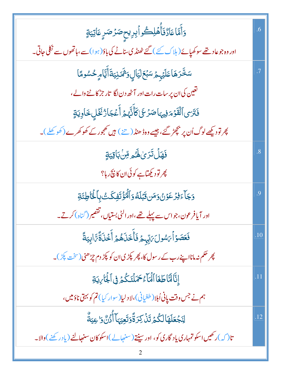| <mark>ۯ</mark> ٲٞۿۜٵٵ۠ۮ۠ڡؘۧٲٛ۠ۿڸۨڵڂٛۅٲؠؚڔؠۣۜڂٟڞۯڞڔؚۣ؏ؘٳؾؚؾۊٟ                                    | .6             |
|-------------------------------------------------------------------------------------------------|----------------|
| اور وہ جو عاد نتھے سو کھپائے ( ہلاک کئے ) گئے ٹھنڈ کی سالے کی باؤ( ہوا) سے،ہاتھوں سے نکلی جاتی۔ |                |
| سَخَّرَهَاعَلَيۡہِمۡ سَبۡعَلۡيَاٰلِ <i>ۥٓ*مَٓ</i> نِيَةَأَيَّامِ ِحُسُومًا                      | $\cdot$ 7      |
| تغین کی ان پر سات رات اور آٹھ دن لگا   تار جڑ کا ٹنے والے،                                      |                |
| فَتَرَى ٱلْقَوْمَ فِيهَاصَرْعَىٰ كَأَنَّهُمُ أَعۡجَارُۢ نَخۡلِ خَاوِيَةٍ                        |                |
| پھر تودیکھے لوگ اُن پر بچھڑ گئے، جیسے وہڈ ھنڈ ( تنے ) ہیں کھجور کے کھو کھرے (کھو کھلے )۔        |                |
| <b>فَهَلۡ تَرَىٰ لَهُ</b> هِ قِنۡ بَاقِيَةٍ                                                     | $\overline{8}$ |
| پھر تود کیھتاہے کوئی ان کا ن <del>ی</del> گر ہا؟                                                |                |
| <u>وَجَ</u> آءَفِرُعَوۡنُ وَمَنقَبۡلَهُۥوَٱلۡمُؤۡتَفِكَتُ بِٱلۡغَاٰطِئَةِ                       | .9             |
| اور آیافرعون،جواس سے پہلے تھے،اور الٹی بستیاں،تقصیر (گناہ) کرتے۔                                |                |
| فَعَصَوۡاۡىَ سُولَىَ بِّهِمۡ فَأَخَذَىٰهُمۡ أَخۡذَىٰٓةً مَّ ابِيَةً                             | .10            |
| پھر حکم نہ مانااپنے رب کے رسول کا، پھر پکڑی ان کو پکڑ دم چڑھنی(سخت پکڑ)۔                        |                |
| إِنَّا لَمَّا طَغَا ٱلْمَاءُ حَمَلَنَكُمۡ فِى ٱلْجَارِيَةِ                                      | .11            |
| ہم نے جس وقت پانی اُبلا (طغیانی)،لا دلیا(سوار کیا) تم کو بہتی ناؤمیں،                           |                |
| ڶ <b>ۣڹؘڿۘۼؘڶ</b> ۿؘٳڶػ۠ؽ <sup>ٙ</sup> ڗٙڹؗٛۘۯػڒٙڐۘٞۏڗؘۜۼؚؾۣؠؘٵۧٲٚٛۯ۠ڹٞ؋۬ٳۼؚؾؚةۜٞ               | .12            |
| تا( کہ )رکھیں اسکو تمہاری یاد گاری کو، اور سینتے(سنہالے)اسکوکان سنہجالنے (یاد رکھنے)والا۔       |                |
|                                                                                                 |                |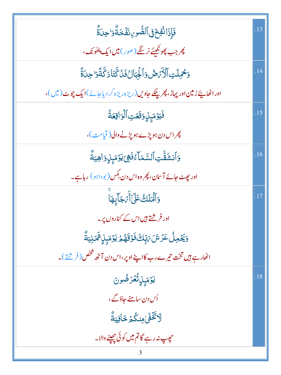| فَإِذَا نُفِخَفِ ٱلصُّوِ ِنفَّخَةُوَا حِدَةٌ                                  | .13 |
|-------------------------------------------------------------------------------|-----|
| پھر جب پھونکیئے نر <u>سنگے (صور) میں ایک پ</u> ھُونک،                         |     |
| وَحْمِلَتِ ٱلْأَرَّصُ وَٱلْجِبَالُ فَلُ تَّتَادَ تَّتَّا وَلَّا تَّ           | .14 |
| اور اٹھاپئے زمین اور پہاڑ، پھرپلکے جاویں (ریزہ ریزہ کر دیاجائے)ایک چوٹ (میں)، |     |
| فَيَوۡمَبِنِوَقَعَتِ ٱلۡوَاقِعَةُ                                             | .15 |
| پھر اس دن ہو پڑے ہو پڑنے والی (قیامت)،                                        |     |
| <u>و</u> َٱنۺَقَّتِٱلسَّمَآءُفَهِىَ يَوۡمَبِنِۗ وَاهِيَةُ                     | .16 |
| اور پھٹ جائے آسان، پھر وہ اس دن بکس (بو داہو ) رہاہے۔                         |     |
| <u>و</u> َٱلۡمَلَكُ عَلَىٰٓأَيۡ جَآبِهَاۤ                                     | .17 |
| اور فرشتے ہیں اس کے کناروں پر۔                                                |     |
| <i>ۏؘڲؘ</i> ٶڵؙ؏ؘۯۺؘ <i>؆</i> ڹؚۜڮٙ؋ؘٷؘۊؘۿؽ؋ڮۯٙڡؘؠ۪ڸؚ۬ <sup>ۺ</sup> ؘڬڹؾؗڐٛ۠  |     |
| اٹھارے ہیں تخت تیرے رب کااپنے اوپر،اس دن آٹھ تتخص( فرشتے )۔                   |     |
| ؚؾۯٙڡؘؠ۪ڸؚڷ۠ڠۯڞۢۅڽ                                                            | .18 |
| اُس دن سامنے جاؤگے ،                                                          |     |
| ڵ <sup>ۯ</sup> ؿۜٛۘڂٞۿؘٳڡ <i>ؚڹ</i> ػ۠ؽ؋ػٳڣۣؾۨ <i>ڐ۠</i>                      |     |
| حڥٻ نہ رہے گاتم میں کوئی چھپنے والا۔                                          |     |
|                                                                               |     |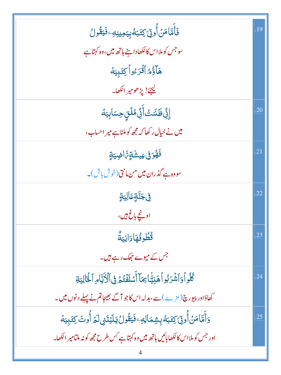| فَأَمَّامَنۡأُونِۤ كِتَبَهُۚبِيَمِينِهِۦفَيَقُولُ                                             | .19 |
|-----------------------------------------------------------------------------------------------|-----|
| سو جس کو ملااس کالکھادا ہنے ہاتھ میں،وہ کہتا ہے                                               |     |
| هَآؤُهُ أَقُرَءُواً كِتَبِيَهُ                                                                |     |
| <u>ليحيّ! يڑھومير الکھا۔</u>                                                                  |     |
| ۪ٳۏۣٞڟٙٮٞٙٮ۫ؾ۠ٲؘؖۏۣٞڡ۠ڶڗؚۣڝؚؾٲؠؚؾۀ                                                            | .20 |
| میں نے خیال رکھا کہ مجھ کوملناہے میر احساب،                                                   |     |
| <i>ۘۏٙۿ۠ۏٙ</i> ڧۣڡؚؠۺ <i>ٛۊٟ؆</i> ٲۻۣۑ <i>ۊؚ</i>                                              | .21 |
| سووہ ہے گذران میں من،انتی(خوش باش)۔                                                           |     |
| ڣ <i>ٚ</i> ۼڹؓۊٕ۪ؗٙۘۘٙٵڶۣؾۊٟ                                                                  | .22 |
| او <u>ن</u> چے باغ ہیں،                                                                       |     |
| قُطُوفُهَادَانِيَةٌ                                                                           | .23 |
| جس کے میوے حجھک رہے ہیں۔                                                                      |     |
| كُلُواً وَٱشۡرَبُواۡ هَٰنِيَّاۡ مِمَاۤ أَمۡلَفۡتُمۡ فِى ٱلۡأَيَّامِ ٱلۡغَاٰلِيَةِ             | .24 |
| کھاؤادر پیورچ(مڑے)سے،بدلہ اس کاجو آگے بھیجاتم نے پہلے دنوں میں۔                               |     |
| <u>و</u> َأَمَّامَنۡ أُونِّ كِتَبَهُ بِشِمَالِهِۦ فَيَقُّولُ يَلۡيَتَنِىلَمۡ أُوتَ كِتَبِيَهُ | .25 |
| اور جس کو ملااس کا لکھابائیں ہاتھ میں وہ کہتا ہے <sup>کِس</sup> طرح مجھ کو نہ ملتامیر الکھا۔  |     |
|                                                                                               |     |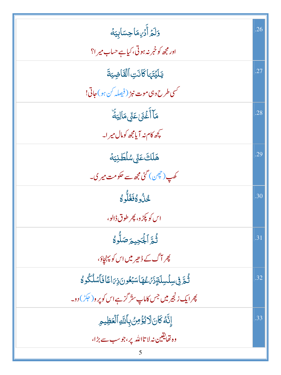| وَلَمَرْ أَدۡرِهَاۡحِسَابِيَهَ                                                     | .26 |
|------------------------------------------------------------------------------------|-----|
| اور مجھ کو خمر نہ ہوتی، کیاہے حساب میر ا؟                                          |     |
| يَلَيۡتَهَا كَانَتِ ٱلۡقَاضِيَةَ                                                   | .27 |
| <i>گسي طرح وي موت نېژ</i> (فيصله کن <i>ہ</i> و) جاتي!                              |     |
| <b>مَآأَغۡنَىٰعَنِّىمَالِيَةَ</b>                                                  | .28 |
| مچھ کام نہ آیامچھ کومال میر ا۔                                                     |     |
| ۿؘڶڶڰؘٷٙۨؽۺڷڟڹؾۀ                                                                   | .29 |
| کھپ(چچن) گئی مجھ سے حکومت میر کی۔                                                  |     |
| ڿ۠ڽؙٛۥٷڬؘۼ۠ڵؖٷ                                                                     | .30 |
| اس کو پکڑ و، پھر طوق ڈالو،                                                         |     |
| ثُّعَّ الْجَحِيمَ صَلُّوهُ                                                         | .31 |
| پھر آگ کے ڈھیر میں اس کو پہن <u>جا</u> ؤ،                                          |     |
| ڷؙ <sub>ؖڟ</sub> ۜ؋ۣڛڷڛڶۊؚۮ <i>ؘڹ</i> ۠؏ؗۿٵۺڹ <sup>ۣ</sup> ٶڹ؋ۣؠؘٳڠٙٳڡؘٲۺڵػؙۅٷ     | .32 |
| پھرایک زنجیر میں جس کاماپ س <sup>ت</sup> ر گز ہے اس کو پر و( حک <sup>ی</sup> ل دو۔ |     |
| إِنَّهُ كَانَ لَا يُؤْمِنُ بِأَلَّهِ ٱلْعَظِيمِ                                    | .33 |
| وہ تھایقین نہ لا تااللہ پر،جوسب سے بڑا،                                            |     |
|                                                                                    |     |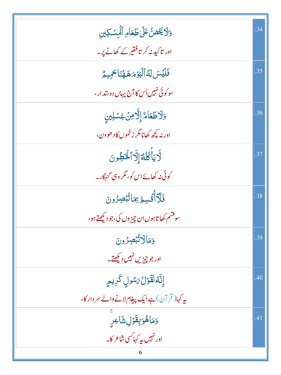| وَلَايَخْضُّ عَلَىٰ طَعَامِ ٱلْمِسْكِين         | .34 |
|-------------------------------------------------|-----|
| اور تاکید نہ کر تافقیر کے کھانے پر۔             |     |
| فَلَيُسَ لَهُ الْيَوْمَ هَهُنَا حَمِيمٌ         | .35 |
| سو کوئی نہیں اُس کا آج پہاں دوستدار ،           |     |
| ولاطَعَامٌ إِلَّامِنۡ غِسۡلِينٍ                 | .36 |
| اور نہ کچھ کھانامگر زخموں کا د ھوون،            |     |
| لَايَأْكُلُمُّ إِلَّا لَمُؤْونَ                 | .37 |
| کوئی نہ کھائے اس کو، مگر وہی گنہگار۔            |     |
| فَلَآأَتُسِمُ بِمَاتُبُصِرُونَ                  | .38 |
| سوقشم کھا تاہوں ان چیز وں کی،جو دیکھتے ہو،      |     |
| وَمَالَاتُّبۡصِرُونَ                            | .39 |
| اور جو چیزیں نہیں دیکھتے۔                       |     |
| إِنَّهُ لَقَوْلُ بَسُولٍ كَرِيمٍ                | .40 |
| یہ کہا(قر آن) ہے ایک پیغام لانے والے سر دار کا، |     |
| وَمَاهُوَبِقَوْلِ شَاعِرٍ                       | .41 |
| اور نہیں پہ کہا کسی شاعر کا۔<br>6               |     |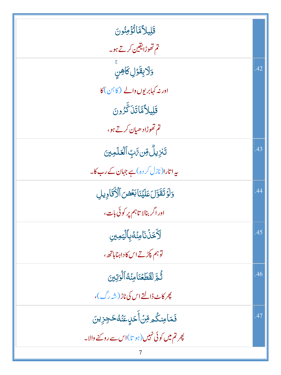| قَلِيلاًمَّانُّؤُمِنُونَ                                   |     |
|------------------------------------------------------------|-----|
| تم تھوڑایقین کرتے ہو۔                                      |     |
| وَلَابِقَوْلِ كَاهِنٍ                                      | .42 |
| اور نہ کہابریوں والے (کا ہن) کا                            |     |
| قَلِيلاًمَّاتَنَگَّرُونَ                                   |     |
| تم تھوڑاد ھیان کرتے ہو،                                    |     |
| ڗ <i>ٙڹڒٟ</i> ؠڵ۠ <i>ۊؾ؆ٙ</i> ڹؖٵڷ <i>ڂ</i> ڷڡؚؾ <i>ؾ</i>  | .43 |
| یہ اتارا(نازل کر دہ)ہے جہان کے رب کا۔                      |     |
| وَلَوَتَقَوَّلَ عَلَيْنَا بَعُضَ ٱلْأَقَادِيلِ             | .44 |
| اور اگر بنالا تاہم پر کوئی بات،                            |     |
| لَأَخَذُنَا مِنَهُ بِٱلْيَمِينِ                            | .45 |
| توہم پکڑتے اس کا داہناہاتھے،                               |     |
| ثُمَّ لَقَطَعْنَامِنُهُ ٱلْرَتِينَ                         | .46 |
| پھر کاٹ ڈالتے اس کی ناڑ (شہ <sup>ر</sup> گ)،               |     |
| فَمَامِنكُم مِّنۡأَخَلٍعَنۡهُۖحَجِزِينَ                    | .47 |
| پھرت <mark>م میں کوئی نہیں (ہو تا)اس سے روکنے والا۔</mark> |     |
|                                                            |     |